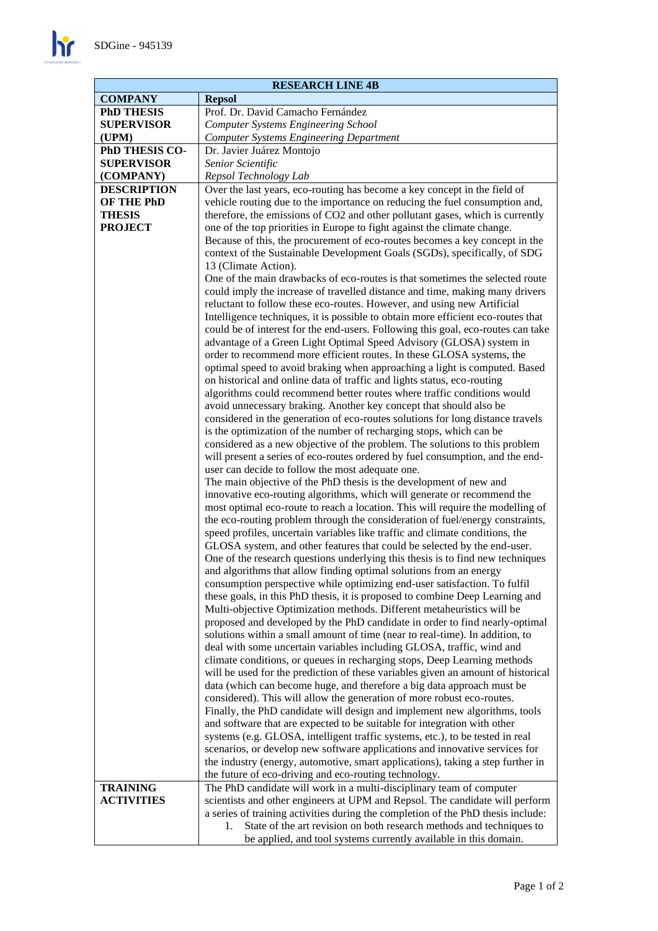$\mathbf{h}$ 

| <b>RESEARCH LINE 4B</b> |                                                                                  |  |  |
|-------------------------|----------------------------------------------------------------------------------|--|--|
| <b>COMPANY</b>          | <b>Repsol</b>                                                                    |  |  |
| <b>PhD THESIS</b>       | Prof. Dr. David Camacho Fernández                                                |  |  |
| <b>SUPERVISOR</b>       | <b>Computer Systems Engineering School</b>                                       |  |  |
| (UPM)                   | <b>Computer Systems Engineering Department</b>                                   |  |  |
| PhD THESIS CO-          | Dr. Javier Juárez Montojo                                                        |  |  |
| <b>SUPERVISOR</b>       | Senior Scientific                                                                |  |  |
| (COMPANY)               | Repsol Technology Lab                                                            |  |  |
| <b>DESCRIPTION</b>      | Over the last years, eco-routing has become a key concept in the field of        |  |  |
| <b>OF THE PhD</b>       | vehicle routing due to the importance on reducing the fuel consumption and,      |  |  |
| <b>THESIS</b>           | therefore, the emissions of CO2 and other pollutant gases, which is currently    |  |  |
| <b>PROJECT</b>          | one of the top priorities in Europe to fight against the climate change.         |  |  |
|                         | Because of this, the procurement of eco-routes becomes a key concept in the      |  |  |
|                         | context of the Sustainable Development Goals (SGDs), specifically, of SDG        |  |  |
|                         | 13 (Climate Action).                                                             |  |  |
|                         | One of the main drawbacks of eco-routes is that sometimes the selected route     |  |  |
|                         | could imply the increase of travelled distance and time, making many drivers     |  |  |
|                         | reluctant to follow these eco-routes. However, and using new Artificial          |  |  |
|                         | Intelligence techniques, it is possible to obtain more efficient eco-routes that |  |  |
|                         | could be of interest for the end-users. Following this goal, eco-routes can take |  |  |
|                         | advantage of a Green Light Optimal Speed Advisory (GLOSA) system in              |  |  |
|                         | order to recommend more efficient routes. In these GLOSA systems, the            |  |  |
|                         | optimal speed to avoid braking when approaching a light is computed. Based       |  |  |
|                         | on historical and online data of traffic and lights status, eco-routing          |  |  |
|                         | algorithms could recommend better routes where traffic conditions would          |  |  |
|                         | avoid unnecessary braking. Another key concept that should also be               |  |  |
|                         | considered in the generation of eco-routes solutions for long distance travels   |  |  |
|                         | is the optimization of the number of recharging stops, which can be              |  |  |
|                         | considered as a new objective of the problem. The solutions to this problem      |  |  |
|                         | will present a series of eco-routes ordered by fuel consumption, and the end-    |  |  |
|                         | user can decide to follow the most adequate one.                                 |  |  |
|                         | The main objective of the PhD thesis is the development of new and               |  |  |
|                         | innovative eco-routing algorithms, which will generate or recommend the          |  |  |
|                         | most optimal eco-route to reach a location. This will require the modelling of   |  |  |
|                         | the eco-routing problem through the consideration of fuel/energy constraints,    |  |  |
|                         | speed profiles, uncertain variables like traffic and climate conditions, the     |  |  |
|                         | GLOSA system, and other features that could be selected by the end-user.         |  |  |
|                         | One of the research questions underlying this thesis is to find new techniques   |  |  |
|                         | and algorithms that allow finding optimal solutions from an energy               |  |  |
|                         | consumption perspective while optimizing end-user satisfaction. To fulfil        |  |  |
|                         | these goals, in this PhD thesis, it is proposed to combine Deep Learning and     |  |  |
|                         | Multi-objective Optimization methods. Different metaheuristics will be           |  |  |
|                         | proposed and developed by the PhD candidate in order to find nearly-optimal      |  |  |
|                         | solutions within a small amount of time (near to real-time). In addition, to     |  |  |
|                         | deal with some uncertain variables including GLOSA, traffic, wind and            |  |  |
|                         | climate conditions, or queues in recharging stops, Deep Learning methods         |  |  |
|                         | will be used for the prediction of these variables given an amount of historical |  |  |
|                         | data (which can become huge, and therefore a big data approach must be           |  |  |
|                         | considered). This will allow the generation of more robust eco-routes.           |  |  |
|                         | Finally, the PhD candidate will design and implement new algorithms, tools       |  |  |
|                         | and software that are expected to be suitable for integration with other         |  |  |
|                         | systems (e.g. GLOSA, intelligent traffic systems, etc.), to be tested in real    |  |  |
|                         | scenarios, or develop new software applications and innovative services for      |  |  |
|                         | the industry (energy, automotive, smart applications), taking a step further in  |  |  |
|                         | the future of eco-driving and eco-routing technology.                            |  |  |
| <b>TRAINING</b>         | The PhD candidate will work in a multi-disciplinary team of computer             |  |  |
| <b>ACTIVITIES</b>       | scientists and other engineers at UPM and Repsol. The candidate will perform     |  |  |
|                         | a series of training activities during the completion of the PhD thesis include: |  |  |
|                         | State of the art revision on both research methods and techniques to<br>1.       |  |  |
|                         | be applied, and tool systems currently available in this domain.                 |  |  |